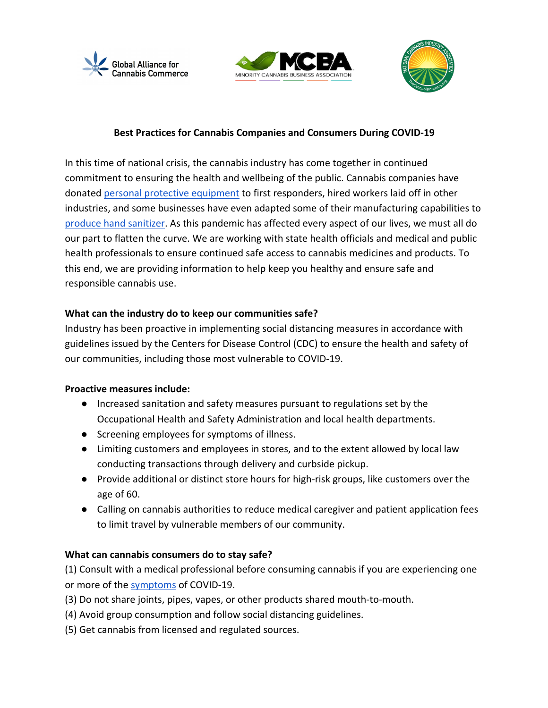





# **Best Practices for Cannabis Companies and Consumers During COVID-19**

In this time of national crisis, the cannabis industry has come together in continued commitment to ensuring the health and wellbeing of the public. Cannabis companies have donated personal protective equipment to first responders, hired workers laid off in other industries, and some businesses have even adapted some of their manufacturing capabilities to produce hand sanitizer. As this pandemic has affected every aspect of our lives, we must all do our part to flatten the curve. We are working with state health officials and medical and public health professionals to ensure continued safe access to cannabis medicines and products. To this end, we are providing information to help keep you healthy and ensure safe and responsible cannabis use.

## **What can the industry do to keep our communities safe?**

Industry has been proactive in implementing social distancing measures in accordance with guidelines issued by the Centers for Disease Control (CDC) to ensure the health and safety of our communities, including those most vulnerable to COVID-19.

## **Proactive measures include:**

- Increased sanitation and safety measures pursuant to regulations set by the Occupational Health and Safety Administration and local health departments.
- Screening employees for symptoms of illness.
- Limiting customers and employees in stores, and to the extent allowed by local law conducting transactions through delivery and curbside pickup.
- Provide additional or distinct store hours for high-risk groups, like customers over the age of 60.
- Calling on cannabis authorities to reduce medical caregiver and patient application fees to limit travel by vulnerable members of our community.

## **What can cannabis consumers do to stay safe?**

(1) Consult with a medical professional before consuming cannabis if you are experiencing one or more of the symptoms of COVID-19.

- (3) Do not share joints, pipes, vapes, or other products shared mouth-to-mouth.
- (4) Avoid group consumption and follow social distancing guidelines.
- (5) Get cannabis from licensed and regulated sources.